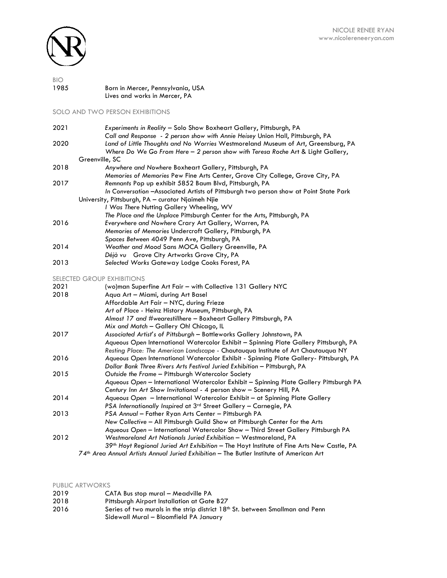

| <b>BIO</b> |                                   |
|------------|-----------------------------------|
| 1985       | Born in Mercer, Pennsylvania, USA |
|            | Lives and works in Mercer, PA     |

SOLO AND TWO PERSON EXHIBITIONS

| 2021 | Experiments in Reality - Solo Show Boxheart Gallery, Pittsburgh, PA                                                                                                  |
|------|----------------------------------------------------------------------------------------------------------------------------------------------------------------------|
|      | Call and Response - 2 person show with Annie Heisey Union Hall, Pittsburgh, PA                                                                                       |
| 2020 | Land of Little Thoughts and No Worries Westmoreland Museum of Art, Greensburg, PA<br>Where Do We Go From Here – 2 person show with Teresa Roche Art & Light Gallery, |
|      | Greenville, SC                                                                                                                                                       |
| 2018 | Anywhere and Nowhere Boxheart Gallery, Pittsburgh, PA                                                                                                                |
|      | Memories of Memories Pew Fine Arts Center, Grove City College, Grove City, PA                                                                                        |
| 2017 | Remnants Pop up exhibit 5852 Baum Blvd, Pittsburgh, PA                                                                                                               |
|      | In Conversation - Associated Artists of Pittsburgh two person show at Point State Park                                                                               |
|      | University, Pittsburgh, PA - curator Njaimeh Njie                                                                                                                    |
|      | I Was There Nutting Gallery Wheeling, WV                                                                                                                             |
|      | The Place and the Unplace Pittsburgh Center for the Arts, Pittsburgh, PA                                                                                             |
| 2016 | Everywhere and Nowhere Crary Art Gallery, Warren, PA                                                                                                                 |
|      | Memories of Memories Undercroft Gallery, Pittsburgh, PA                                                                                                              |
|      | Spaces Between 4049 Penn Ave, Pittsburgh, PA                                                                                                                         |
| 2014 | Weather and Mood Sans MOCA Gallery Greenville, PA                                                                                                                    |
|      | Déjà vu Grove City Artworks Grove City, PA                                                                                                                           |
| 2013 | Selected Works Gateway Lodge Cooks Forest, PA                                                                                                                        |
|      | <b>SELECTED GROUP EXHIBITIONS</b>                                                                                                                                    |
| 2021 | (wo)man Superfine Art Fair - with Collective 131 Gallery NYC                                                                                                         |
| 2018 | Aqua Art - Miami, during Art Basel                                                                                                                                   |
|      | Affordable Art Fair - NYC, during Frieze                                                                                                                             |
|      | Art of Place - Heinz History Museum, Pittsburgh, PA                                                                                                                  |

|      | Art of Place - Heinz History Museum, Pittsburgh, PA                                    |
|------|----------------------------------------------------------------------------------------|
|      | Almost 17 and #wearestillhere – Boxheart Gallery Pittsburgh, PA                        |
|      | Mix and Match - Gallery Oh! Chicago, IL                                                |
| 2017 | Associated Artist's of Pittsburgh - Bottleworks Gallery Johnstown, PA                  |
|      | Aqueous Open International Watercolor Exhibit - Spinning Plate Gallery Pittsburgh, PA  |
|      | Resting Place: The American Landscape - Chautauqua Institute of Art Chautauqua NY      |
| 2016 | Aqueous Open International Watercolor Exhibit - Spinning Plate Gallery- Pittsburgh, PA |
|      | Dollar Bank Three Rivers Arts Festival Juried Exhibition - Pittsburgh, PA              |
| 2015 | Outside the Frame - Pittsburgh Watercolor Society                                      |
|      | Aqueous Open - International Watercolor Exhibit - Spinning Plate Gallery Pittsburgh PA |
|      | Century Inn Art Show Invitational - 4 person show - Scenery Hill, PA                   |
| 2014 | Aqueous Open - International Watercolor Exhibit - at Spinning Plate Gallery            |
|      | PSA Internationally Inspired at 3 <sup>rd</sup> Street Gallery - Carnegie, PA          |
| 2013 | PSA Annual - Father Ryan Arts Center - Pittsburgh PA                                   |
|      | New Collective - All Pittsburgh Guild Show at Pittsburgh Center for the Arts           |
|      | Aqueous Open - International Watercolor Show - Third Street Gallery Pittsburgh PA      |
|      |                                                                                        |

| 2012 | Westmoreland Art Nationals Juried Exhibition - Westmoreland, PA                                       |
|------|-------------------------------------------------------------------------------------------------------|
|      | 39 <sup>th</sup> Hoyt Regional Juried Art Exhibition - The Hoyt Institute of Fine Arts New Castle, PA |
|      | .                                                                                                     |

*74th Area Annual Artists Annual Juried Exhibition* – The Butler Institute of American Art

| PUBLIC ARTWORKS |                                                                                           |
|-----------------|-------------------------------------------------------------------------------------------|
| 2019            | CATA Bus stop mural – Meadville PA                                                        |
| 2018            | Pittsburgh Airport Installation at Gate B27                                               |
| 2016            | Series of two murals in the strip district 18 <sup>th</sup> St. between Smallman and Penn |
|                 | Sidewall Mural - Bloomfield PA January                                                    |